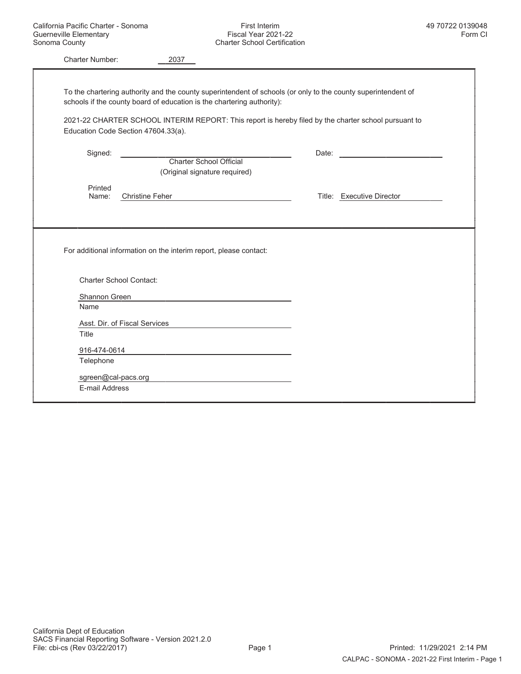| <b>Charter Number:</b> | 2037                                                                                                                                                                                    |  |                                  |
|------------------------|-----------------------------------------------------------------------------------------------------------------------------------------------------------------------------------------|--|----------------------------------|
|                        | To the chartering authority and the county superintendent of schools (or only to the county superintendent of<br>schools if the county board of education is the chartering authority): |  |                                  |
|                        | 2021-22 CHARTER SCHOOL INTERIM REPORT: This report is hereby filed by the charter school pursuant to                                                                                    |  |                                  |
|                        | Education Code Section 47604.33(a).                                                                                                                                                     |  |                                  |
| Signed:                | Charter School Official<br>(Original signature required)                                                                                                                                |  | Date: <u>___________________</u> |
| Printed<br>Name:       | <b>Christine Feher</b>                                                                                                                                                                  |  | Title: Executive Director        |
|                        |                                                                                                                                                                                         |  |                                  |
|                        | For additional information on the interim report, please contact:                                                                                                                       |  |                                  |
|                        | <b>Charter School Contact:</b>                                                                                                                                                          |  |                                  |
| Shannon Green          |                                                                                                                                                                                         |  |                                  |
| Name                   |                                                                                                                                                                                         |  |                                  |
|                        | Asst. Dir. of Fiscal Services                                                                                                                                                           |  |                                  |
| Title                  |                                                                                                                                                                                         |  |                                  |
| 916-474-0614           |                                                                                                                                                                                         |  |                                  |
| Telephone              |                                                                                                                                                                                         |  |                                  |
|                        | sgreen@cal-pacs.org example and a series of the series of the series of the series of the series of the series                                                                          |  |                                  |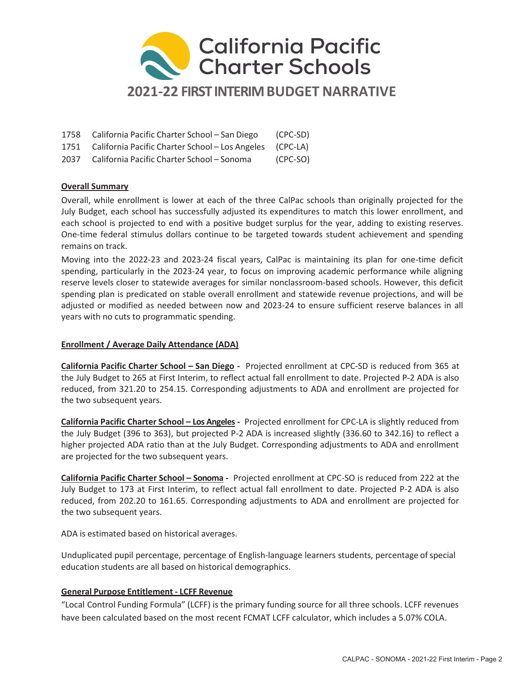

| 1758 California Pacific Charter School – San Diego            | (CPC-SD) |
|---------------------------------------------------------------|----------|
| 1751 California Pacific Charter School - Los Angeles (CPC-LA) |          |

2037 California Pacific Charter School – Sonoma (CPC-SO)

### Overall Summary

Overall, while enrollment is lower at each of the three CalPac schools than originally projected for the July Budget, each school has successfully adjusted its expenditures to match this lower enrollment, and each school is projected to end with a positive budget surplus for the year, adding to existing reserves. One-time federal stimulus dollars continue to be targeted towards student achievement and spending remains on track.

Moving into the 2022-23 and 2023-24 fiscal years, CalPac is maintaining its plan for one-time deficit spending, particularly in the 2023-24 year, to focus on improving academic performance while aligning reserve levels closer to statewide averages for similar nonclassroom-based schools. However, this deficit spending plan is predicated on stable overall enrollment and statewide revenue projections, and will be adjusted or modified as needed between now and 2023-24 to ensure sufficient reserve balances in all years with no cuts to programmatic spending.

### Enrollment / Average Daily Attendance (ADA)

California Pacific Charter School – San Diego - Projected enrollment at CPC-SD is reduced from 365 at the July Budget to 265 at First Interim, to reflect actual fall enrollment to date. Projected P-2 ADA is also reduced, from 321.20 to 254.15. Corresponding adjustments to ADA and enrollment are projected for the two subsequent years.

California Pacific Charter School – Los Angeles - Projected enrollment for CPC-LA is slightly reduced from the July Budget (396 to 363), but projected P-2 ADA is increased slightly (336.60 to 342.16) to reflect a higher projected ADA ratio than at the July Budget. Corresponding adjustments to ADA and enrollment are projected for the two subsequent years.

California Pacific Charter School – Sonoma - Projected enrollment at CPC-SO is reduced from 222 at the July Budget to 173 at First Interim, to reflect actual fall enrollment to date. Projected P-2 ADA is also reduced, from 202.20 to 161.65. Corresponding adjustments to ADA and enrollment are projected for the two subsequent years.

ADA is estimated based on historical averages.

Unduplicated pupil percentage, percentage of English-language learners students, percentage of special education students are all based on historical demographics.

### General Purpose Entitlement - LCFF Revenue

"Local Control Funding Formula" (LCFF) is the primary funding source for all three schools. LCFF revenues have been calculated based on the most recent FCMAT LCFF calculator, which includes a 5.07% COLA.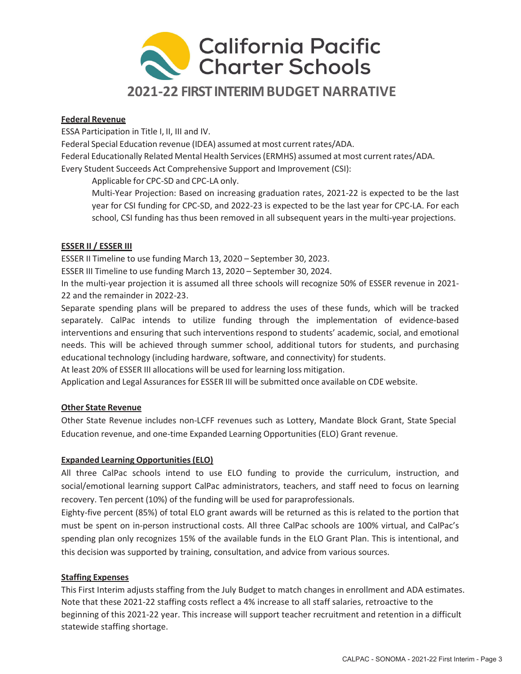

### Federal Revenue

ESSA Participation in Title I, II, III and IV.

Federal Special Education revenue (IDEA) assumed at most current rates/ADA.

Federal Educationally Related Mental Health Services (ERMHS) assumed at most current rates/ADA. Every Student Succeeds Act Comprehensive Support and Improvement (CSI):

Applicable for CPC-SD and CPC-LA only.

Multi-Year Projection: Based on increasing graduation rates, 2021-22 is expected to be the last year for CSI funding for CPC-SD, and 2022-23 is expected to be the last year for CPC-LA. For each school, CSI funding has thus been removed in all subsequent years in the multi-year projections.

### ESSER II / ESSER III

ESSER II Timeline to use funding March 13, 2020 – September 30, 2023.

ESSER III Timeline to use funding March 13, 2020 – September 30, 2024.

In the multi-year projection it is assumed all three schools will recognize 50% of ESSER revenue in 2021- 22 and the remainder in 2022-23.

Separate spending plans will be prepared to address the uses of these funds, which will be tracked separately. CalPac intends to utilize funding through the implementation of evidence-based interventions and ensuring that such interventions respond to students' academic, social, and emotional needs. This will be achieved through summer school, additional tutors for students, and purchasing educational technology (including hardware, software, and connectivity) for students.

At least 20% of ESSER III allocations will be used for learning loss mitigation.

Application and Legal Assurances for ESSER III will be submitted once available on CDE website.

### Other State Revenue

Other State Revenue includes non-LCFF revenues such as Lottery, Mandate Block Grant, State Special Education revenue, and one-time Expanded Learning Opportunities (ELO) Grant revenue.

### Expanded Learning Opportunities (ELO)

All three CalPac schools intend to use ELO funding to provide the curriculum, instruction, and social/emotional learning support CalPac administrators, teachers, and staff need to focus on learning recovery. Ten percent (10%) of the funding will be used for paraprofessionals.

Eighty-five percent (85%) of total ELO grant awards will be returned as this is related to the portion that must be spent on in-person instructional costs. All three CalPac schools are 100% virtual, and CalPac's spending plan only recognizes 15% of the available funds in the ELO Grant Plan. This is intentional, and this decision was supported by training, consultation, and advice from various sources.

#### Staffing Expenses

This First Interim adjusts staffing from the July Budget to match changes in enrollment and ADA estimates. Note that these 2021-22 staffing costs reflect a 4% increase to all staff salaries, retroactive to the beginning of this 2021-22 year. This increase will support teacher recruitment and retention in a difficult statewide staffing shortage.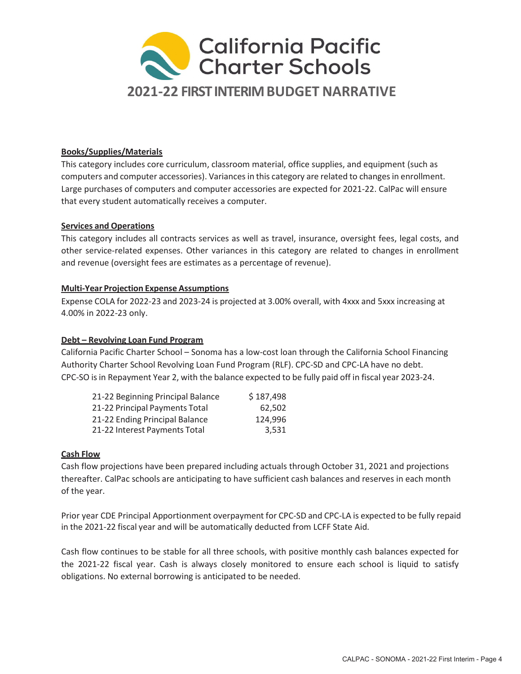

### Books/Supplies/Materials

This category includes core curriculum, classroom material, office supplies, and equipment (such as computers and computer accessories). Variances in this category are related to changes in enrollment. Large purchases of computers and computer accessories are expected for 2021-22. CalPac will ensure that every student automatically receives a computer.

### Services and Operations

This category includes all contracts services as well as travel, insurance, oversight fees, legal costs, and other service-related expenses. Other variances in this category are related to changes in enrollment and revenue (oversight fees are estimates as a percentage of revenue).

### Multi-Year Projection Expense Assumptions

Expense COLA for 2022-23 and 2023-24 is projected at 3.00% overall, with 4xxx and 5xxx increasing at 4.00% in 2022-23 only.

### Debt – Revolving Loan Fund Program

California Pacific Charter School – Sonoma has a low-cost loan through the California School Financing Authority Charter School Revolving Loan Fund Program (RLF). CPC-SD and CPC-LA have no debt. CPC-SO is in Repayment Year 2, with the balance expected to be fully paid off in fiscal year 2023-24.

| 21-22 Beginning Principal Balance | \$187,498 |
|-----------------------------------|-----------|
| 21-22 Principal Payments Total    | 62.502    |
| 21-22 Ending Principal Balance    | 124,996   |
| 21-22 Interest Payments Total     | 3.531     |

#### Cash Flow

Cash flow projections have been prepared including actuals through October 31, 2021 and projections thereafter. CalPac schools are anticipating to have sufficient cash balances and reserves in each month of the year.

Prior year CDE Principal Apportionment overpayment for CPC-SD and CPC-LA is expected to be fully repaid in the 2021-22 fiscal year and will be automatically deducted from LCFF State Aid.

Cash flow continues to be stable for all three schools, with positive monthly cash balances expected for the 2021-22 fiscal year. Cash is always closely monitored to ensure each school is liquid to satisfy obligations. No external borrowing is anticipated to be needed.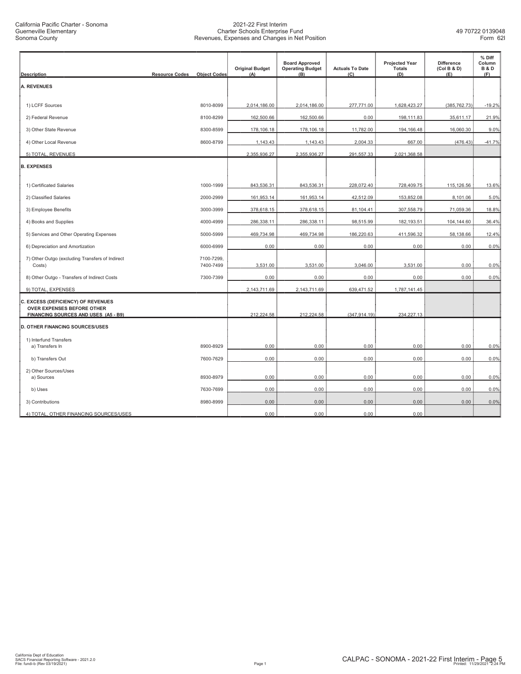| <b>Description</b>                                                             | <b>Resource Codes</b><br><b>Object Codes</b> | <b>Original Budget</b><br>(A) | <b>Board Approved</b><br><b>Operating Budget</b><br>(B) | <b>Actuals To Date</b><br>(C) | <b>Projected Year</b><br><b>Totals</b><br>(D) | <b>Difference</b><br>(Col B & D)<br>(E) | % Diff<br>Column<br><b>B&amp;D</b><br>(F) |
|--------------------------------------------------------------------------------|----------------------------------------------|-------------------------------|---------------------------------------------------------|-------------------------------|-----------------------------------------------|-----------------------------------------|-------------------------------------------|
| <b>A. REVENUES</b>                                                             |                                              |                               |                                                         |                               |                                               |                                         |                                           |
| 1) LCFF Sources                                                                | 8010-8099                                    | 2,014,186.00                  | 2,014,186.00                                            | 277,771.00                    | 1,628,423.27                                  | (385, 762.73)                           | $-19.2%$                                  |
| 2) Federal Revenue                                                             | 8100-8299                                    | 162,500.66                    | 162,500.66                                              | 0.00                          | 198,111.83                                    | 35,611.17                               | 21.9%                                     |
| 3) Other State Revenue                                                         | 8300-8599                                    | 178,106.18                    | 178,106.18                                              | 11,782.00                     | 194,166.48                                    | 16,060.30                               | 9.0%                                      |
| 4) Other Local Revenue                                                         | 8600-8799                                    | 1,143.43                      | 1,143.43                                                | 2,004.33                      | 667.00                                        | (476.43)                                | $-41.7%$                                  |
| 5) TOTAL, REVENUES                                                             |                                              | 2,355,936.27                  | 2,355,936.27                                            | 291,557.33                    | 2,021,368.58                                  |                                         |                                           |
| <b>B. EXPENSES</b>                                                             |                                              |                               |                                                         |                               |                                               |                                         |                                           |
| 1) Certificated Salaries                                                       | 1000-1999                                    | 843,536.31                    | 843,536.31                                              | 228,072.40                    | 728,409.75                                    | 115,126.56                              | 13.6%                                     |
| 2) Classified Salaries                                                         | 2000-2999                                    | 161,953.14                    | 161,953.14                                              | 42,512.09                     | 153,852.08                                    | 8,101.06                                | 5.0%                                      |
| 3) Employee Benefits                                                           | 3000-3999                                    | 378,618.15                    | 378,618.15                                              | 81,104.41                     | 307,558.79                                    | 71,059.36                               | 18.8%                                     |
| 4) Books and Supplies                                                          | 4000-4999                                    | 286,338.11                    | 286,338.11                                              | 98,515.99                     | 182,193.51                                    | 104,144.60                              | 36.4%                                     |
| 5) Services and Other Operating Expenses                                       | 5000-5999                                    | 469,734.98                    | 469,734.98                                              | 186,220.63                    | 411,596.32                                    | 58,138.66                               | 12.4%                                     |
| 6) Depreciation and Amortization                                               | 6000-6999                                    | 0.00                          | 0.00                                                    | 0.00                          | 0.00                                          | 0.00                                    | 0.0%                                      |
| 7) Other Outgo (excluding Transfers of Indirect<br>Costs)                      | 7100-7299,<br>7400-7499                      | 3,531.00                      | 3,531.00                                                | 3,046.00                      | 3,531.00                                      | 0.00                                    | 0.0%                                      |
| 8) Other Outgo - Transfers of Indirect Costs                                   | 7300-7399                                    | 0.00                          | 0.00                                                    | 0.00                          | 0.00                                          | 0.00                                    | 0.0%                                      |
| 9) TOTAL, EXPENSES                                                             |                                              | 2,143,711.69                  | 2,143,711.69                                            | 639,471.52                    | 1,787,141.45                                  |                                         |                                           |
| C. EXCESS (DEFICIENCY) OF REVENUES<br>OVER EXPENSES BEFORE OTHER               |                                              |                               |                                                         |                               |                                               |                                         |                                           |
| FINANCING SOURCES AND USES (A5 - B9)<br><b>D. OTHER FINANCING SOURCES/USES</b> |                                              | 212,224.58                    | 212,224.58                                              | (347, 914.19)                 | 234,227.13                                    |                                         |                                           |
| 1) Interfund Transfers                                                         |                                              |                               |                                                         |                               |                                               |                                         |                                           |
| a) Transfers In                                                                | 8900-8929                                    | 0.00                          | 0.00                                                    | 0.00                          | 0.00                                          | 0.00                                    | 0.0%                                      |
| b) Transfers Out                                                               | 7600-7629                                    | 0.00                          | 0.00                                                    | 0.00                          | 0.00                                          | 0.00                                    | 0.0%                                      |
| 2) Other Sources/Uses<br>a) Sources                                            | 8930-8979                                    | 0.00                          | 0.00                                                    | 0.00                          | 0.00                                          | 0.00                                    | 0.0%                                      |
| b) Uses                                                                        | 7630-7699                                    | 0.00                          | 0.00                                                    | 0.00                          | 0.00                                          | 0.00                                    | 0.0%                                      |
| 3) Contributions                                                               | 8980-8999                                    | 0.00                          | 0.00                                                    | 0.00                          | 0.00                                          | 0.00                                    | 0.0%                                      |
| 4) TOTAL, OTHER FINANCING SOURCES/USES                                         |                                              | 0.00                          | 0.00                                                    | 0.00                          | 0.00                                          |                                         |                                           |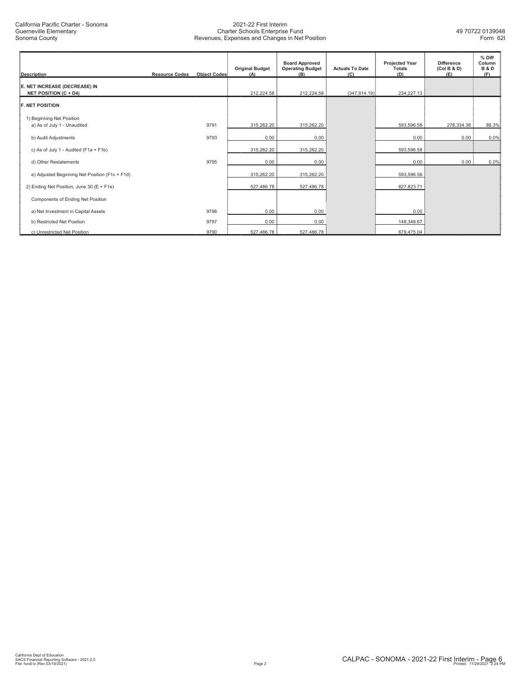| <b>Description</b>                                            | <b>Resource Codes</b> | <b>Object Codes</b> | <b>Original Budget</b><br>(A) | <b>Board Approved</b><br><b>Operating Budget</b><br>(B) | <b>Actuals To Date</b><br>(C) | <b>Projected Year</b><br><b>Totals</b><br>(D) | <b>Difference</b><br>(Col B & D)<br>(E) | % Diff<br>Column<br><b>B&amp;D</b><br>(F) |
|---------------------------------------------------------------|-----------------------|---------------------|-------------------------------|---------------------------------------------------------|-------------------------------|-----------------------------------------------|-----------------------------------------|-------------------------------------------|
| E. NET INCREASE (DECREASE) IN<br><b>NET POSITION (C + D4)</b> |                       |                     | 212,224.58                    | 212,224.58                                              | (347, 914.19)                 | 234,227.13                                    |                                         |                                           |
| <b>F. NET POSITION</b>                                        |                       |                     |                               |                                                         |                               |                                               |                                         |                                           |
| 1) Beginning Net Position<br>a) As of July 1 - Unaudited      |                       | 9791                | 315,262.20                    | 315,262.20                                              |                               | 593,596.58                                    | 278,334.38                              | 88.3%                                     |
| b) Audit Adjustments                                          |                       | 9793                | 0.00                          | 0.00                                                    |                               | 0.00                                          | 0.00                                    | 0.0%                                      |
| c) As of July 1 - Audited (F1a + F1b)                         |                       |                     | 315,262.20                    | 315,262.20                                              |                               | 593,596.58                                    |                                         |                                           |
| d) Other Restatements                                         |                       | 9795                | 0.00                          | 0.00                                                    |                               | 0.00                                          | 0.00                                    | 0.0%                                      |
| e) Adjusted Beginning Net Position (F1c + F1d)                |                       |                     | 315,262.20                    | 315,262.20                                              |                               | 593,596.58                                    |                                         |                                           |
| 2) Ending Net Position, June 30 (E + F1e)                     |                       |                     | 527,486.78                    | 527,486.78                                              |                               | 827,823.71                                    |                                         |                                           |
| Components of Ending Net Position                             |                       |                     |                               |                                                         |                               |                                               |                                         |                                           |
| a) Net Investment in Capital Assets                           |                       | 9796                | 0.00                          | 0.00                                                    |                               | 0.00                                          |                                         |                                           |
| b) Restricted Net Position                                    |                       | 9797                | 0.00                          | 0.00                                                    |                               | 148,348.67                                    |                                         |                                           |
| c) Unrestricted Net Position                                  |                       | 9790                | 527,486.78                    | 527,486.78                                              |                               | 679,475.04                                    |                                         |                                           |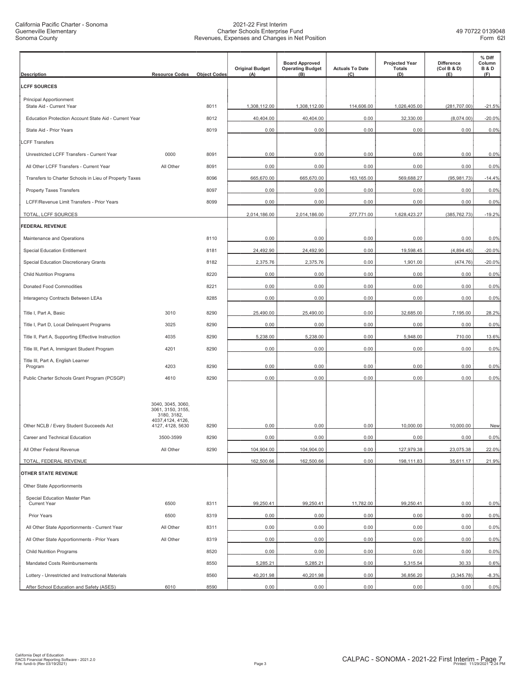| <b>Description</b>                                     | <b>Resource Codes</b>                                                                         | <b>Object Codes</b> | <b>Original Budget</b><br>(A) | <b>Board Approved</b><br><b>Operating Budget</b><br>(B) | <b>Actuals To Date</b><br>(C) | <b>Projected Year</b><br><b>Totals</b><br>(D) | <b>Difference</b><br>(Col B & D)<br>(E) | % Diff<br>Column<br><b>B&amp;D</b><br>(F) |
|--------------------------------------------------------|-----------------------------------------------------------------------------------------------|---------------------|-------------------------------|---------------------------------------------------------|-------------------------------|-----------------------------------------------|-----------------------------------------|-------------------------------------------|
| <b>LCFF SOURCES</b>                                    |                                                                                               |                     |                               |                                                         |                               |                                               |                                         |                                           |
| <b>Principal Apportionment</b>                         |                                                                                               |                     |                               |                                                         |                               |                                               |                                         |                                           |
| State Aid - Current Year                               |                                                                                               | 8011                | 1,308,112.00                  | 1,308,112.00                                            | 114,606.00                    | 1,026,405.00                                  | (281,707.00)                            | $-21.5%$                                  |
| Education Protection Account State Aid - Current Year  |                                                                                               | 8012                | 40,404.00                     | 40,404.00                                               | 0.00                          | 32,330.00                                     | (8,074.00)                              | $-20.0%$                                  |
| State Aid - Prior Years                                |                                                                                               | 8019                | 0.00                          | 0.00                                                    | 0.00                          | 0.00                                          | 0.00                                    | 0.0%                                      |
| <b>LCFF Transfers</b>                                  |                                                                                               |                     |                               |                                                         |                               |                                               |                                         |                                           |
| Unrestricted LCFF Transfers - Current Year             | 0000                                                                                          | 8091                | 0.00                          | 0.00                                                    | 0.00                          | 0.00                                          | 0.00                                    | 0.0%                                      |
| All Other LCFF Transfers - Current Year                | All Other                                                                                     | 8091                | 0.00                          | 0.00                                                    | 0.00                          | 0.00                                          | 0.00                                    | 0.0%                                      |
| Transfers to Charter Schools in Lieu of Property Taxes |                                                                                               | 8096                | 665,670.00                    | 665,670.00                                              | 163,165.00                    | 569,688.27                                    | (95, 981.73)                            | $-14.4%$                                  |
| <b>Property Taxes Transfers</b>                        |                                                                                               | 8097                | 0.00                          | 0.00                                                    | 0.00                          | 0.00                                          | 0.00                                    | 0.0%                                      |
| LCFF/Revenue Limit Transfers - Prior Years             |                                                                                               | 8099                | 0.00                          | 0.00                                                    | 0.00                          | 0.00                                          | 0.00                                    | 0.0%                                      |
| TOTAL, LCFF SOURCES                                    |                                                                                               |                     | 2,014,186.00                  | 2,014,186.00                                            | 277,771.00                    | 1,628,423.27                                  | (385, 762.73)                           | $-19.2%$                                  |
| <b>FEDERAL REVENUE</b>                                 |                                                                                               |                     |                               |                                                         |                               |                                               |                                         |                                           |
| Maintenance and Operations                             |                                                                                               | 8110                | 0.00                          | 0.00                                                    | 0.00                          | 0.00                                          | 0.00                                    | 0.0%                                      |
| <b>Special Education Entitlement</b>                   |                                                                                               | 8181                | 24,492.90                     | 24,492.90                                               | 0.00                          | 19,598.45                                     | (4,894.45)                              | $-20.0%$                                  |
| Special Education Discretionary Grants                 |                                                                                               | 8182                | 2,375.76                      | 2,375.76                                                | 0.00                          | 1,901.00                                      | (474.76)                                | $-20.0%$                                  |
| <b>Child Nutrition Programs</b>                        |                                                                                               | 8220                | 0.00                          | 0.00                                                    | 0.00                          | 0.00                                          | 0.00                                    | 0.0%                                      |
| Donated Food Commodities                               |                                                                                               | 8221                | 0.00                          | 0.00                                                    | 0.00                          | 0.00                                          | 0.00                                    | 0.0%                                      |
| Interagency Contracts Between LEAs                     |                                                                                               | 8285                | 0.00                          | 0.00                                                    | 0.00                          | 0.00                                          | 0.00                                    | 0.0%                                      |
| Title I, Part A, Basic                                 | 3010                                                                                          | 8290                | 25,490.00                     | 25,490.00                                               | 0.00                          | 32,685.00                                     | 7,195.00                                | 28.2%                                     |
| Title I, Part D, Local Delinquent Programs             | 3025                                                                                          | 8290                | 0.00                          | 0.00                                                    | 0.00                          | 0.00                                          | 0.00                                    | 0.0%                                      |
| Title II, Part A, Supporting Effective Instruction     | 4035                                                                                          | 8290                | 5,238.00                      | 5,238.00                                                | 0.00                          | 5,948.00                                      | 710.00                                  | 13.6%                                     |
| Title III, Part A, Immigrant Student Program           | 4201                                                                                          | 8290                | 0.00                          | 0.00                                                    | 0.00                          | 0.00                                          | 0.00                                    | 0.0%                                      |
| Title III, Part A, English Learner<br>Program          | 4203                                                                                          | 8290                | 0.00                          | 0.00                                                    | 0.00                          | 0.00                                          | 0.00                                    | 0.0%                                      |
| Public Charter Schools Grant Program (PCSGP)           | 4610                                                                                          | 8290                | 0.00                          | 0.00                                                    | 0.00                          | 0.00                                          | 0.00                                    | 0.0%                                      |
| Other NCLB / Every Student Succeeds Act                | 3040, 3045, 3060,<br>3061, 3150, 3155,<br>3180, 3182,<br>4037,4124, 4126,<br>4127, 4128, 5630 | 8290                | 0.00                          | 0.00                                                    | 0.00                          | 10,000.00                                     | 10,000.00                               | New                                       |
| Career and Technical Education                         | 3500-3599                                                                                     | 8290                | 0.00                          | 0.00                                                    | 0.00                          | 0.00                                          | 0.00                                    | 0.0%                                      |
| All Other Federal Revenue                              | All Other                                                                                     | 8290                | 104,904.00                    | 104,904.00                                              | 0.00                          | 127,979.38                                    | 23,075.38                               | 22.0%                                     |
| TOTAL, FEDERAL REVENUE                                 |                                                                                               |                     | 162,500.66                    | 162,500.66                                              | 0.00                          | 198,111.83                                    | 35,611.17                               | 21.9%                                     |
| OTHER STATE REVENUE                                    |                                                                                               |                     |                               |                                                         |                               |                                               |                                         |                                           |
| Other State Apportionments                             |                                                                                               |                     |                               |                                                         |                               |                                               |                                         |                                           |
| Special Education Master Plan                          |                                                                                               |                     |                               |                                                         |                               |                                               |                                         |                                           |
| <b>Current Year</b>                                    | 6500                                                                                          | 8311                | 99,250.41                     | 99,250.41                                               | 11,782.00                     | 99,250.41                                     | 0.00                                    | 0.0%                                      |
| Prior Years                                            | 6500                                                                                          | 8319                | 0.00                          | 0.00                                                    | 0.00                          | 0.00                                          | 0.00                                    | 0.0%                                      |
| All Other State Apportionments - Current Year          | All Other                                                                                     | 8311                | 0.00                          | 0.00                                                    | 0.00                          | 0.00                                          | 0.00                                    | 0.0%                                      |
| All Other State Apportionments - Prior Years           | All Other                                                                                     | 8319                | 0.00                          | 0.00                                                    | 0.00                          | 0.00                                          | 0.00                                    | 0.0%                                      |
| <b>Child Nutrition Programs</b>                        |                                                                                               | 8520                | 0.00                          | 0.00                                                    | 0.00                          | 0.00                                          | 0.00                                    | 0.0%                                      |
| Mandated Costs Reimbursements                          |                                                                                               | 8550                | 5,285.21                      | 5,285.21                                                | 0.00                          | 5,315.54                                      | 30.33                                   | 0.6%                                      |
| Lottery - Unrestricted and Instructional Materials     |                                                                                               | 8560                | 40,201.98                     | 40,201.98                                               | 0.00                          | 36,856.20                                     | (3,345.78)                              | $-8.3%$                                   |
| After School Education and Safety (ASES)               | 6010                                                                                          | 8590                | 0.00                          | 0.00                                                    | 0.00                          | 0.00                                          | 0.00                                    | 0.0%                                      |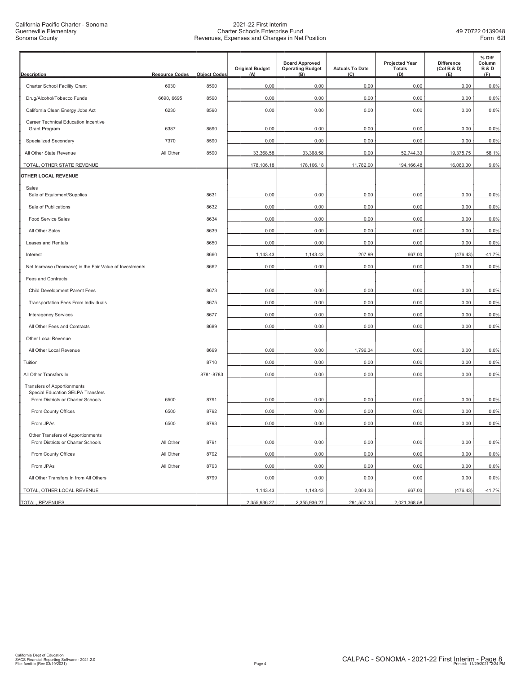California Pacific Charter - Sonoma Guerneville Elementary Sonoma County

| <b>Description</b>                                                      | <b>Resource Codes</b> | <b>Object Codes</b> | <b>Original Budget</b><br>(A) | <b>Board Approved</b><br><b>Operating Budget</b><br>(B) | <b>Actuals To Date</b><br>(C) | <b>Projected Year</b><br><b>Totals</b><br>(D) | <b>Difference</b><br>(Col B & D)<br>(E) | % Diff<br>Column<br><b>B&amp;D</b><br>(F) |
|-------------------------------------------------------------------------|-----------------------|---------------------|-------------------------------|---------------------------------------------------------|-------------------------------|-----------------------------------------------|-----------------------------------------|-------------------------------------------|
| Charter School Facility Grant                                           | 6030                  | 8590                | 0.00                          | 0.00                                                    | 0.00                          | 0.00                                          | 0.00                                    | 0.0%                                      |
| Drug/Alcohol/Tobacco Funds                                              | 6690, 6695            | 8590                | 0.00                          | 0.00                                                    | 0.00                          | 0.00                                          | 0.00                                    | 0.0%                                      |
| California Clean Energy Jobs Act                                        | 6230                  | 8590                | 0.00                          | 0.00                                                    | 0.00                          | 0.00                                          | 0.00                                    | 0.0%                                      |
| Career Technical Education Incentive                                    |                       |                     |                               |                                                         |                               |                                               |                                         |                                           |
| Grant Program                                                           | 6387                  | 8590                | 0.00                          | 0.00                                                    | 0.00                          | 0.00                                          | 0.00                                    | 0.0%                                      |
| Specialized Secondary                                                   | 7370                  | 8590                | 0.00                          | 0.00                                                    | 0.00                          | 0.00                                          | 0.00                                    | 0.0%                                      |
| All Other State Revenue                                                 | All Other             | 8590                | 33,368.58                     | 33,368.58                                               | 0.00                          | 52,744.33                                     | 19,375.75                               | 58.1%                                     |
| TOTAL, OTHER STATE REVENUE                                              |                       |                     | 178,106.18                    | 178,106.18                                              | 11,782.00                     | 194,166.48                                    | 16,060.30                               | 9.0%                                      |
| OTHER LOCAL REVENUE                                                     |                       |                     |                               |                                                         |                               |                                               |                                         |                                           |
| Sales<br>Sale of Equipment/Supplies                                     |                       | 8631                | 0.00                          | 0.00                                                    | 0.00                          | 0.00                                          | 0.00                                    | 0.0%                                      |
| Sale of Publications                                                    |                       | 8632                | 0.00                          | 0.00                                                    | 0.00                          | 0.00                                          | 0.00                                    | 0.0%                                      |
|                                                                         |                       |                     |                               |                                                         |                               |                                               |                                         |                                           |
| <b>Food Service Sales</b>                                               |                       | 8634                | 0.00<br>0.00                  | 0.00                                                    | 0.00                          | 0.00                                          | 0.00                                    | 0.0%                                      |
| All Other Sales<br><b>Leases and Rentals</b>                            |                       | 8639                |                               | 0.00                                                    | 0.00                          | 0.00                                          | 0.00                                    | 0.0%                                      |
|                                                                         |                       | 8650                | 0.00                          | 0.00                                                    | 0.00                          | 0.00                                          | 0.00                                    | 0.0%                                      |
| Interest                                                                |                       | 8660                | 1,143.43                      | 1,143.43                                                | 207.99                        | 667.00                                        | (476.43)                                | $-41.7%$                                  |
| Net Increase (Decrease) in the Fair Value of Investments                |                       | 8662                | 0.00                          | 0.00                                                    | 0.00                          | 0.00                                          | 0.00                                    | 0.0%                                      |
| Fees and Contracts                                                      |                       |                     |                               |                                                         |                               |                                               |                                         |                                           |
| Child Development Parent Fees                                           |                       | 8673                | 0.00                          | 0.00                                                    | 0.00                          | 0.00                                          | 0.00                                    | 0.0%                                      |
| Transportation Fees From Individuals                                    |                       | 8675                | 0.00                          | 0.00                                                    | 0.00                          | 0.00                                          | 0.00                                    | 0.0%                                      |
| <b>Interagency Services</b>                                             |                       | 8677                | 0.00                          | 0.00                                                    | 0.00                          | 0.00                                          | 0.00                                    | 0.0%                                      |
| All Other Fees and Contracts                                            |                       | 8689                | 0.00                          | 0.00                                                    | 0.00                          | 0.00                                          | 0.00                                    | 0.0%                                      |
| Other Local Revenue                                                     |                       |                     |                               |                                                         |                               |                                               |                                         |                                           |
| All Other Local Revenue                                                 |                       | 8699                | 0.00                          | 0.00                                                    | 1,796.34                      | 0.00                                          | 0.00                                    | 0.0%                                      |
| Tuition                                                                 |                       | 8710                | 0.00                          | 0.00                                                    | 0.00                          | 0.00                                          | 0.00                                    | 0.0%                                      |
| All Other Transfers In                                                  |                       | 8781-8783           | 0.00                          | 0.00                                                    | 0.00                          | 0.00                                          | 0.00                                    | 0.0%                                      |
| Transfers of Apportionments<br><b>Special Education SELPA Transfers</b> |                       |                     |                               |                                                         |                               |                                               |                                         |                                           |
| From Districts or Charter Schools                                       | 6500                  | 8791                | 0.00                          | 0.00                                                    | 0.00                          | 0.00                                          | 0.00                                    | 0.0%                                      |
| From County Offices                                                     | 6500                  | 8792                | 0.00                          | 0.00                                                    | 0.00                          | 0.00                                          | 0.00                                    | 0.0%                                      |
| From JPAs                                                               | 6500                  | 8793                | 0.00                          | 0.00                                                    | 0.00                          | 0.00                                          | 0.00                                    | 0.0%                                      |
| Other Transfers of Apportionments<br>From Districts or Charter Schools  | All Other             | 8791                | 0.00                          | 0.00                                                    | 0.00                          | 0.00                                          | 0.00                                    | 0.0%                                      |
| From County Offices                                                     | All Other             | 8792                | 0.00                          | 0.00                                                    | 0.00                          | 0.00                                          | 0.00                                    | 0.0%                                      |
| From JPAs                                                               | All Other             | 8793                | 0.00                          | 0.00                                                    | 0.00                          | 0.00                                          | 0.00                                    | 0.0%                                      |
| All Other Transfers In from All Others                                  |                       | 8799                | 0.00                          | 0.00                                                    | 0.00                          | 0.00                                          | 0.00                                    | 0.0%                                      |
| TOTAL, OTHER LOCAL REVENUE                                              |                       |                     | 1,143.43                      | 1,143.43                                                | 2,004.33                      | 667.00                                        | (476.43)                                | $-41.7%$                                  |
| TOTAL, REVENUES                                                         |                       |                     | 2,355,936.27                  | 2,355,936.27                                            | 291,557.33                    | 2,021,368.58                                  |                                         |                                           |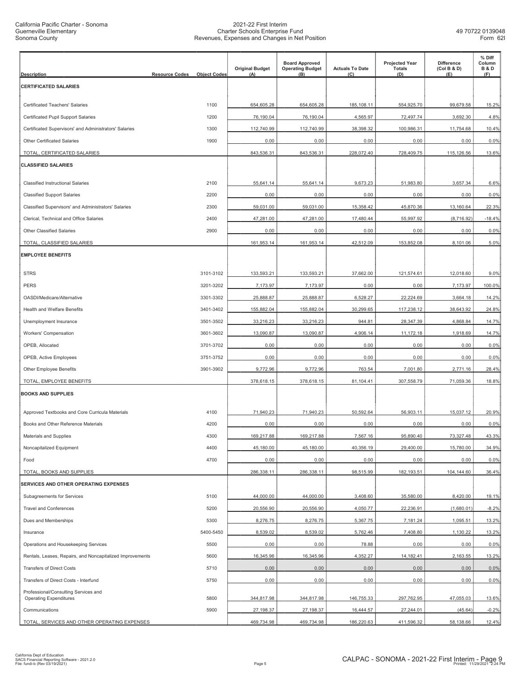| <b>Description</b>                                                    | <b>Resource Codes</b> | <b>Object Codes</b> | <b>Original Budget</b><br>(A) | <b>Board Approved</b><br><b>Operating Budget</b><br>(B) | <b>Actuals To Date</b><br>(C) | <b>Projected Year</b><br><b>Totals</b><br>(D) | Difference<br>(Col B & D)<br>(E) | % Diff<br>Column<br><b>B&amp;D</b><br>(F) |
|-----------------------------------------------------------------------|-----------------------|---------------------|-------------------------------|---------------------------------------------------------|-------------------------------|-----------------------------------------------|----------------------------------|-------------------------------------------|
| <b>CERTIFICATED SALARIES</b>                                          |                       |                     |                               |                                                         |                               |                                               |                                  |                                           |
| Certificated Teachers' Salaries                                       |                       | 1100                | 654,605.28                    | 654,605.28                                              | 185,108.11                    | 554,925.70                                    | 99,679.58                        | 15.2%                                     |
| Certificated Pupil Support Salaries                                   |                       | 1200                | 76,190.04                     | 76,190.04                                               | 4,565.97                      | 72,497.74                                     | 3,692.30                         | 4.8%                                      |
| Certificated Supervisors' and Administrators' Salaries                |                       | 1300                | 112,740.99                    | 112,740.99                                              | 38,398.32                     | 100,986.31                                    | 11,754.68                        | 10.4%                                     |
| Other Certificated Salaries                                           |                       | 1900                | 0.00                          | 0.00                                                    | 0.00                          | 0.00                                          | 0.00                             | 0.0%                                      |
| TOTAL, CERTIFICATED SALARIES                                          |                       |                     | 843,536.31                    | 843,536.31                                              | 228,072.40                    | 728,409.75                                    | 115,126.56                       | 13.6%                                     |
| <b>CLASSIFIED SALARIES</b>                                            |                       |                     |                               |                                                         |                               |                                               |                                  |                                           |
| <b>Classified Instructional Salaries</b>                              |                       | 2100                | 55,641.14                     | 55,641.14                                               | 9,673.23                      | 51,983.80                                     | 3,657.34                         | 6.6%                                      |
| <b>Classified Support Salaries</b>                                    |                       | 2200                | 0.00                          | 0.00                                                    | 0.00                          | 0.00                                          | 0.00                             | 0.0%                                      |
| Classified Supervisors' and Administrators' Salaries                  |                       | 2300                | 59,031.00                     | 59,031.00                                               | 15,358.42                     | 45,870.36                                     | 13,160.64                        | 22.3%                                     |
| Clerical, Technical and Office Salaries                               |                       | 2400                | 47,281.00                     | 47,281.00                                               | 17,480.44                     | 55,997.92                                     | (8,716.92)                       | $-18.4%$                                  |
| <b>Other Classified Salaries</b>                                      |                       | 2900                | 0.00                          | 0.00                                                    | 0.00                          | 0.00                                          | 0.00                             | 0.0%                                      |
| TOTAL, CLASSIFIED SALARIES                                            |                       |                     | 161,953.14                    | 161,953.14                                              | 42,512.09                     | 153,852.08                                    | 8,101.06                         | 5.0%                                      |
| <b>EMPLOYEE BENEFITS</b>                                              |                       |                     |                               |                                                         |                               |                                               |                                  |                                           |
| <b>STRS</b>                                                           |                       | 3101-3102           | 133,593.21                    | 133,593.21                                              | 37,662.00                     | 121,574.61                                    | 12,018.60                        | 9.0%                                      |
| <b>PERS</b>                                                           |                       | 3201-3202           | 7,173.97                      | 7,173.97                                                | 0.00                          | 0.00                                          | 7,173.97                         | 100.0%                                    |
| OASDI/Medicare/Alternative                                            |                       | 3301-3302           | 25,888.87                     | 25,888.87                                               | 6,528.27                      | 22,224.69                                     | 3,664.18                         | 14.2%                                     |
| Health and Welfare Benefits                                           |                       | 3401-3402           | 155,882.04                    | 155,882.04                                              | 30,299.65                     | 117,238.12                                    | 38,643.92                        | 24.8%                                     |
| Unemployment Insurance                                                |                       | 3501-3502           | 33,216.23                     | 33,216.23                                               | 944.81                        | 28,347.39                                     | 4,868.84                         | 14.7%                                     |
| Workers' Compensation                                                 |                       | 3601-3602           | 13,090.87                     | 13,090.87                                               | 4,906.14                      | 11,172.18                                     | 1,918.69                         | 14.7%                                     |
| OPEB, Allocated                                                       |                       | 3701-3702           | 0.00                          | 0.00                                                    | 0.00                          | 0.00                                          | 0.00                             | 0.0%                                      |
| OPEB, Active Employees                                                |                       | 3751-3752           | 0.00                          | 0.00                                                    | 0.00                          | 0.00                                          | 0.00                             | 0.0%                                      |
| <b>Other Employee Benefits</b>                                        |                       | 3901-3902           | 9,772.96                      | 9,772.96                                                | 763.54                        | 7,001.80                                      | 2,771.16                         | 28.4%                                     |
| TOTAL, EMPLOYEE BENEFITS                                              |                       |                     | 378,618.15                    | 378,618.15                                              | 81,104.41                     | 307,558.79                                    | 71,059.36                        | 18.8%                                     |
| <b>BOOKS AND SUPPLIES</b>                                             |                       |                     |                               |                                                         |                               |                                               |                                  |                                           |
| Approved Textbooks and Core Curricula Materials                       |                       | 4100                | 71,940.23                     | 71.940.23                                               | 50,592.64                     | 56,903.11                                     | 15,037.12                        | 20.9%                                     |
| Books and Other Reference Materials                                   |                       | 4200                | 0.00                          | 0.00                                                    | 0.00                          | 0.00                                          | 0.00                             | 0.0%                                      |
| <b>Materials and Supplies</b>                                         |                       | 4300                | 169,217.88                    | 169,217.88                                              | 7,567.16                      | 95,890.40                                     | 73,327.48                        | 43.3%                                     |
| Noncapitalized Equipment                                              |                       | 4400                | 45,180.00                     | 45,180.00                                               | 40,356.19                     | 29,400.00                                     | 15,780.00                        | 34.9%                                     |
| Food                                                                  |                       | 4700                | 0.00                          | 0.00                                                    | 0.00                          | 0.00                                          | 0.00                             | 0.0%                                      |
| TOTAL, BOOKS AND SUPPLIES                                             |                       |                     | 286,338.11                    | 286,338.11                                              | 98,515.99                     | 182,193.51                                    | 104,144.60                       | 36.4%                                     |
| <b>SERVICES AND OTHER OPERATING EXPENSES</b>                          |                       |                     |                               |                                                         |                               |                                               |                                  |                                           |
| Subagreements for Services                                            |                       | 5100                | 44,000.00                     | 44,000.00                                               | 3,408.60                      | 35,580.00                                     | 8,420.00                         | 19.1%                                     |
| <b>Travel and Conferences</b>                                         |                       | 5200                | 20,556.90                     | 20,556.90                                               | 4,050.77                      | 22,236.91                                     | (1,680.01)                       | $-8.2%$                                   |
| Dues and Memberships                                                  |                       | 5300                | 8,276.75                      | 8,276.75                                                | 5,367.75                      | 7,181.24                                      | 1,095.51                         | 13.2%                                     |
| Insurance                                                             |                       | 5400-5450           | 8,539.02                      | 8,539.02                                                | 5,762.46                      | 7,408.80                                      | 1,130.22                         | 13.2%                                     |
| Operations and Housekeeping Services                                  |                       | 5500                | 0.00                          | 0.00                                                    | 78.88                         | 0.00                                          | 0.00                             | 0.0%                                      |
| Rentals, Leases, Repairs, and Noncapitalized Improvements             |                       | 5600                | 16,345.96                     | 16,345.96                                               | 4,352.27                      | 14,182.41                                     | 2,163.55                         | 13.2%                                     |
| <b>Transfers of Direct Costs</b>                                      |                       | 5710                | 0.00                          | 0.00                                                    | 0.00                          | 0.00                                          | 0.00                             | 0.0%                                      |
| Transfers of Direct Costs - Interfund                                 |                       | 5750                | 0.00                          | 0.00                                                    | 0.00                          | 0.00                                          | 0.00                             | 0.0%                                      |
| Professional/Consulting Services and<br><b>Operating Expenditures</b> |                       | 5800                | 344,817.98                    | 344,817.98                                              | 146,755.33                    | 297,762.95                                    | 47,055.03                        | 13.6%                                     |
| Communications                                                        |                       | 5900                | 27,198.37                     | 27,198.37                                               | 16,444.57                     | 27,244.01                                     | (45.64)                          | $-0.2%$                                   |
| TOTAL, SERVICES AND OTHER OPERATING EXPENSES                          |                       |                     | 469,734.98                    | 469,734.98                                              | 186,220.63                    | 411,596.32                                    | 58,138.66                        | 12.4%                                     |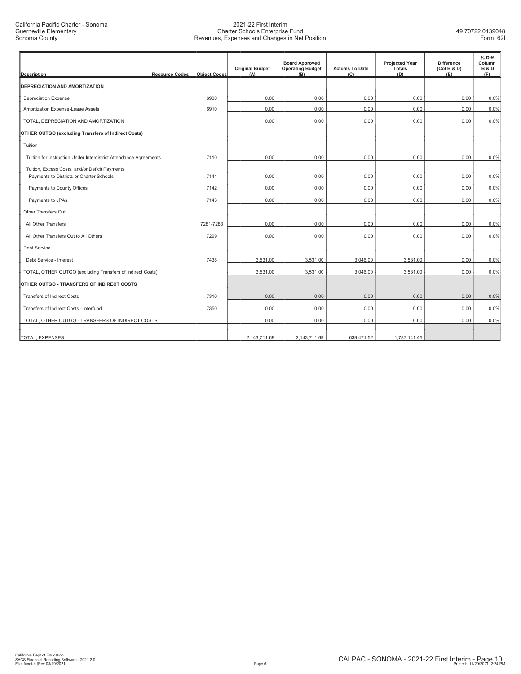| <b>Description</b>                                                                         | <b>Resource Codes</b><br><b>Object Codes</b> | <b>Original Budget</b><br>(A) | <b>Board Approved</b><br><b>Operating Budget</b><br>(B) | <b>Actuals To Date</b><br>(C) | <b>Projected Year</b><br><b>Totals</b><br>(D) | <b>Difference</b><br>(Col B & D)<br>(E) | % Diff<br>Column<br><b>B&amp;D</b><br>(F) |
|--------------------------------------------------------------------------------------------|----------------------------------------------|-------------------------------|---------------------------------------------------------|-------------------------------|-----------------------------------------------|-----------------------------------------|-------------------------------------------|
| <b>IDEPRECIATION AND AMORTIZATION</b>                                                      |                                              |                               |                                                         |                               |                                               |                                         |                                           |
| <b>Depreciation Expense</b>                                                                | 6900                                         | 0.00                          | 0.00                                                    | 0.00                          | 0.00                                          | 0.00                                    | 0.0%                                      |
| Amortization Expense-Lease Assets                                                          | 6910                                         | 0.00                          | 0.00                                                    | 0.00                          | 0.00                                          | 0.00                                    | 0.0%                                      |
| TOTAL, DEPRECIATION AND AMORTIZATION                                                       |                                              | 0.00                          | 0.00                                                    | 0.00                          | 0.00                                          | 0.00                                    | 0.0%                                      |
| OTHER OUTGO (excluding Transfers of Indirect Costs)                                        |                                              |                               |                                                         |                               |                                               |                                         |                                           |
| Tuition                                                                                    |                                              |                               |                                                         |                               |                                               |                                         |                                           |
| Tuition for Instruction Under Interdistrict Attendance Agreements                          | 7110                                         | 0.00                          | 0.00                                                    | 0.00                          | 0.00                                          | 0.00                                    | 0.0%                                      |
| Tuition, Excess Costs, and/or Deficit Payments<br>Payments to Districts or Charter Schools | 7141                                         | 0.00                          | 0.00                                                    | 0.00                          | 0.00                                          | 0.00                                    | 0.0%                                      |
| Payments to County Offices                                                                 | 7142                                         | 0.00                          | 0.00                                                    | 0.00                          | 0.00                                          | 0.00                                    | 0.0%                                      |
| Payments to JPAs                                                                           | 7143                                         | 0.00                          | 0.00                                                    | 0.00                          | 0.00                                          | 0.00                                    | 0.0%                                      |
| Other Transfers Out                                                                        |                                              |                               |                                                         |                               |                                               |                                         |                                           |
| All Other Transfers                                                                        | 7281-7283                                    | 0.00                          | 0.00                                                    | 0.00                          | 0.00                                          | 0.00                                    | 0.0%                                      |
| All Other Transfers Out to All Others                                                      | 7299                                         | 0.00                          | 0.00                                                    | 0.00                          | 0.00                                          | 0.00                                    | 0.0%                                      |
| <b>Debt Service</b>                                                                        |                                              |                               |                                                         |                               |                                               |                                         |                                           |
| Debt Service - Interest                                                                    | 7438                                         | 3,531.00                      | 3,531.00                                                | 3,046.00                      | 3,531.00                                      | 0.00                                    | 0.0%                                      |
| TOTAL, OTHER OUTGO (excluding Transfers of Indirect Costs)                                 |                                              | 3,531.00                      | 3,531.00                                                | 3,046.00                      | 3,531.00                                      | 0.00                                    | 0.0%                                      |
| OTHER OUTGO - TRANSFERS OF INDIRECT COSTS                                                  |                                              |                               |                                                         |                               |                                               |                                         |                                           |
| <b>Transfers of Indirect Costs</b>                                                         | 7310                                         | 0.00                          | 0.00                                                    | 0.00                          | 0.00                                          | 0.00                                    | 0.0%                                      |
| Transfers of Indirect Costs - Interfund                                                    | 7350                                         | 0.00                          | 0.00                                                    | 0.00                          | 0.00                                          | 0.00                                    | 0.0%                                      |
| TOTAL, OTHER OUTGO - TRANSFERS OF INDIRECT COSTS                                           |                                              | 0.00                          | 0.00                                                    | 0.00                          | 0.00                                          | 0.00                                    | 0.0%                                      |
| TOTAL, EXPENSES                                                                            |                                              | 2.143.711.69                  | 2.143.711.69                                            | 639.471.52                    | 1.787.141.45                                  |                                         |                                           |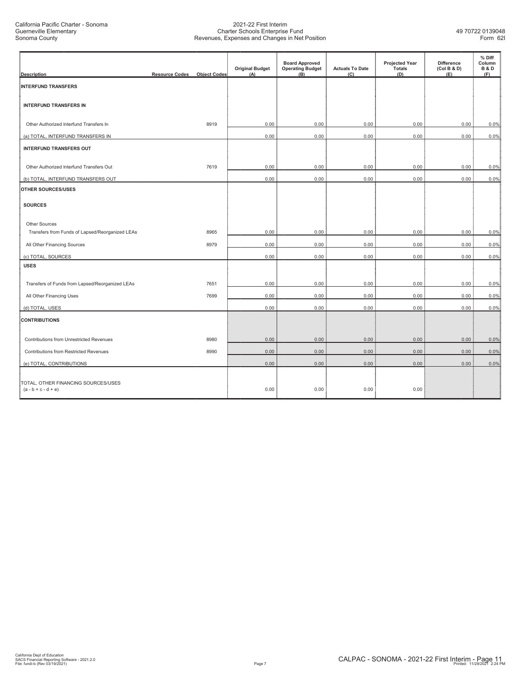| <b>Description</b>                                           | <b>Resource Codes</b> | <b>Object Codes</b> | <b>Original Budget</b><br>(A) | <b>Board Approved</b><br><b>Operating Budget</b><br>(B) | <b>Actuals To Date</b><br>(C) | <b>Projected Year</b><br><b>Totals</b><br>(D) | <b>Difference</b><br>(Col B & D)<br>(E) | % Diff<br>Column<br><b>B&amp;D</b><br>(F) |
|--------------------------------------------------------------|-----------------------|---------------------|-------------------------------|---------------------------------------------------------|-------------------------------|-----------------------------------------------|-----------------------------------------|-------------------------------------------|
| <b>INTERFUND TRANSFERS</b>                                   |                       |                     |                               |                                                         |                               |                                               |                                         |                                           |
| <b>INTERFUND TRANSFERS IN</b>                                |                       |                     |                               |                                                         |                               |                                               |                                         |                                           |
| Other Authorized Interfund Transfers In                      |                       | 8919                | 0.00                          | 0.00                                                    | 0.00                          | 0.00                                          | 0.00                                    | 0.0%                                      |
| (a) TOTAL, INTERFUND TRANSFERS IN                            |                       |                     | 0.00                          | 0.00                                                    | 0.00                          | 0.00                                          | 0.00                                    | 0.0%                                      |
| <b>INTERFUND TRANSFERS OUT</b>                               |                       |                     |                               |                                                         |                               |                                               |                                         |                                           |
| Other Authorized Interfund Transfers Out                     |                       | 7619                | 0.00                          | 0.00                                                    | 0.00                          | 0.00                                          | 0.00                                    | 0.0%                                      |
| (b) TOTAL, INTERFUND TRANSFERS OUT                           |                       |                     | 0.00                          | 0.00                                                    | 0.00                          | 0.00                                          | 0.00                                    | 0.0%                                      |
| OTHER SOURCES/USES                                           |                       |                     |                               |                                                         |                               |                                               |                                         |                                           |
| <b>SOURCES</b>                                               |                       |                     |                               |                                                         |                               |                                               |                                         |                                           |
| Other Sources                                                |                       |                     |                               |                                                         |                               |                                               |                                         |                                           |
| Transfers from Funds of Lapsed/Reorganized LEAs              |                       | 8965                | 0.00                          | 0.00                                                    | 0.00                          | 0.00                                          | 0.00                                    | 0.0%                                      |
| All Other Financing Sources                                  |                       | 8979                | 0.00                          | 0.00                                                    | 0.00                          | 0.00                                          | 0.00                                    | 0.0%                                      |
| (c) TOTAL, SOURCES                                           |                       |                     | 0.00                          | 0.00                                                    | 0.00                          | 0.00                                          | 0.00                                    | 0.0%                                      |
| <b>USES</b>                                                  |                       |                     |                               |                                                         |                               |                                               |                                         |                                           |
| Transfers of Funds from Lapsed/Reorganized LEAs              |                       | 7651                | 0.00                          | 0.00                                                    | 0.00                          | 0.00                                          | 0.00                                    | 0.0%                                      |
| All Other Financing Uses                                     |                       | 7699                | 0.00                          | 0.00                                                    | 0.00                          | 0.00                                          | 0.00                                    | 0.0%                                      |
| (d) TOTAL, USES                                              |                       |                     | 0.00                          | 0.00                                                    | 0.00                          | 0.00                                          | 0.00                                    | 0.0%                                      |
| <b>CONTRIBUTIONS</b>                                         |                       |                     |                               |                                                         |                               |                                               |                                         |                                           |
| Contributions from Unrestricted Revenues                     |                       | 8980                | 0.00                          | 0.00                                                    | 0.00                          | 0.00                                          | 0.00                                    | 0.0%                                      |
| Contributions from Restricted Revenues                       |                       | 8990                | 0.00                          | 0.00                                                    | 0.00                          | 0.00                                          | 0.00                                    | 0.0%                                      |
| (e) TOTAL, CONTRIBUTIONS                                     |                       |                     | 0.00                          | 0.00                                                    | 0.00                          | 0.00                                          | 0.00                                    | 0.0%                                      |
| TOTAL, OTHER FINANCING SOURCES/USES<br>$(a - b + c - d + e)$ |                       |                     | 0.00                          | 0.00                                                    | 0.00                          | 0.00                                          |                                         |                                           |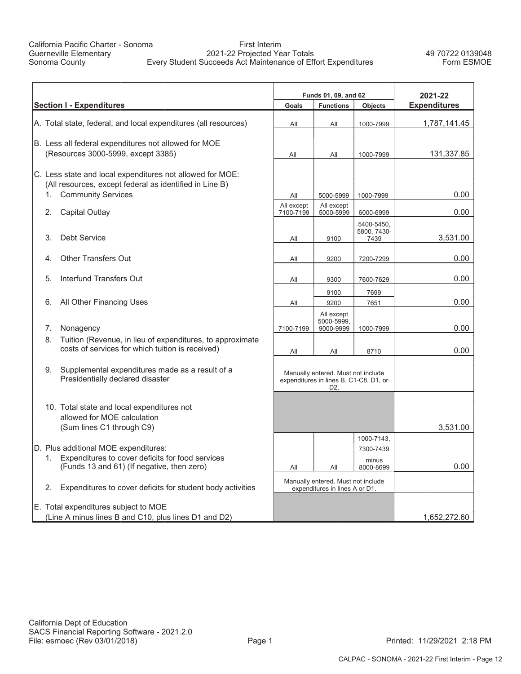#### First Interim 2021-22 Projected Year Totals Every Student Succeeds Act Maintenance of Effort Expenditures

49 70722 0139048 Form ESMOE

|                                                                                            |                         | Funds 01, 09, and 62                                                         |                         | 2021-22             |
|--------------------------------------------------------------------------------------------|-------------------------|------------------------------------------------------------------------------|-------------------------|---------------------|
| <b>Section I - Expenditures</b>                                                            | Goals                   | <b>Functions</b>                                                             | Objects                 | <b>Expenditures</b> |
| A. Total state, federal, and local expenditures (all resources)                            | All                     | All                                                                          | 1000-7999               | 1,787,141.45        |
|                                                                                            |                         |                                                                              |                         |                     |
| B. Less all federal expenditures not allowed for MOE<br>(Resources 3000-5999, except 3385) |                         |                                                                              |                         | 131,337.85          |
|                                                                                            | All                     | All                                                                          | 1000-7999               |                     |
| C. Less state and local expenditures not allowed for MOE:                                  |                         |                                                                              |                         |                     |
| (All resources, except federal as identified in Line B)                                    |                         |                                                                              |                         |                     |
| <b>Community Services</b><br>1.                                                            | All                     | 5000-5999                                                                    | 1000-7999               | 0.00                |
| 2.<br>Capital Outlay                                                                       | All except<br>7100-7199 | All except<br>5000-5999                                                      | 6000-6999               | 0.00                |
|                                                                                            |                         |                                                                              | 5400-5450,              |                     |
| <b>Debt Service</b><br>3.                                                                  | All                     | 9100                                                                         | 5800, 7430-<br>7439     | 3,531.00            |
|                                                                                            |                         |                                                                              |                         |                     |
| <b>Other Transfers Out</b><br>4.                                                           | All                     | 9200                                                                         | 7200-7299               | 0.00                |
|                                                                                            |                         |                                                                              |                         |                     |
| Interfund Transfers Out<br>5.                                                              | All                     | 9300                                                                         | 7600-7629               | 0.00                |
|                                                                                            |                         | 9100                                                                         | 7699                    |                     |
| All Other Financing Uses<br>6.                                                             | All                     | 9200                                                                         | 7651                    | 0.00                |
|                                                                                            |                         | All except<br>5000-5999.                                                     |                         |                     |
| Nonagency<br>7.                                                                            | 7100-7199               | 9000-9999                                                                    | 1000-7999               | 0.00                |
| Tuition (Revenue, in lieu of expenditures, to approximate<br>8.                            |                         |                                                                              |                         |                     |
| costs of services for which tuition is received)                                           | All                     | All                                                                          | 8710                    | 0.00                |
|                                                                                            |                         |                                                                              |                         |                     |
| Supplemental expenditures made as a result of a<br>9.<br>Presidentially declared disaster  |                         | Manually entered. Must not include<br>expenditures in lines B, C1-C8, D1, or |                         |                     |
|                                                                                            |                         | D <sub>2</sub>                                                               |                         |                     |
|                                                                                            |                         |                                                                              |                         |                     |
| 10. Total state and local expenditures not                                                 |                         |                                                                              |                         |                     |
| allowed for MOE calculation                                                                |                         |                                                                              |                         |                     |
| (Sum lines C1 through C9)                                                                  |                         |                                                                              |                         | 3,531.00            |
| D. Plus additional MOE expenditures:                                                       |                         |                                                                              | 1000-7143,<br>7300-7439 |                     |
| Expenditures to cover deficits for food services<br>1.                                     |                         |                                                                              | minus                   |                     |
| (Funds 13 and 61) (If negative, then zero)                                                 | All                     | All                                                                          | 8000-8699               | 0.00                |
|                                                                                            |                         | Manually entered. Must not include                                           |                         |                     |
| Expenditures to cover deficits for student body activities<br>2.                           |                         | expenditures in lines A or D1.                                               |                         |                     |
| E. Total expenditures subject to MOE                                                       |                         |                                                                              |                         |                     |
| (Line A minus lines B and C10, plus lines D1 and D2)                                       |                         |                                                                              |                         | 1,652,272.60        |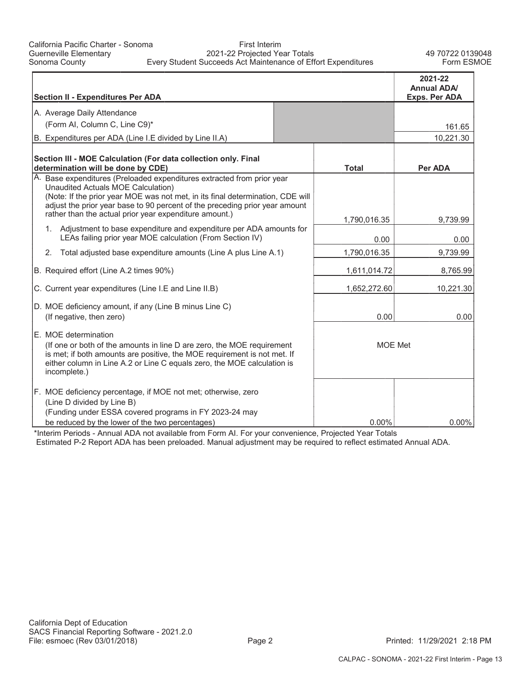| <b>Section II - Expenditures Per ADA</b>                                                                                                                                                                                                                                                                                                |                      | 2021-22<br><b>Annual ADA/</b><br>Exps. Per ADA |
|-----------------------------------------------------------------------------------------------------------------------------------------------------------------------------------------------------------------------------------------------------------------------------------------------------------------------------------------|----------------------|------------------------------------------------|
| A. Average Daily Attendance                                                                                                                                                                                                                                                                                                             |                      |                                                |
| (Form AI, Column C, Line C9)*                                                                                                                                                                                                                                                                                                           |                      | 161.65                                         |
| B. Expenditures per ADA (Line I.E divided by Line II.A)                                                                                                                                                                                                                                                                                 |                      | 10,221.30                                      |
|                                                                                                                                                                                                                                                                                                                                         |                      |                                                |
| Section III - MOE Calculation (For data collection only. Final<br>determination will be done by CDE)                                                                                                                                                                                                                                    | <b>Total</b>         | Per ADA                                        |
| A. Base expenditures (Preloaded expenditures extracted from prior year<br>Unaudited Actuals MOE Calculation)<br>(Note: If the prior year MOE was not met, in its final determination, CDE will<br>adjust the prior year base to 90 percent of the preceding prior year amount<br>rather than the actual prior year expenditure amount.) |                      |                                                |
| Adjustment to base expenditure and expenditure per ADA amounts for<br>1.<br>LEAs failing prior year MOE calculation (From Section IV)                                                                                                                                                                                                   | 1,790,016.35<br>0.00 | 9,739.99<br>0.00                               |
| Total adjusted base expenditure amounts (Line A plus Line A.1)<br>2.                                                                                                                                                                                                                                                                    | 1,790,016.35         | 9,739.99                                       |
| B. Required effort (Line A.2 times 90%)                                                                                                                                                                                                                                                                                                 | 1,611,014.72         | 8,765.99                                       |
| C. Current year expenditures (Line I.E and Line II.B)                                                                                                                                                                                                                                                                                   | 1,652,272.60         | 10,221.30                                      |
| D. MOE deficiency amount, if any (Line B minus Line C)<br>(If negative, then zero)                                                                                                                                                                                                                                                      | 0.00                 | 0.00                                           |
| E. MOE determination<br>(If one or both of the amounts in line D are zero, the MOE requirement<br>is met; if both amounts are positive, the MOE requirement is not met. If<br>either column in Line A.2 or Line C equals zero, the MOE calculation is<br>incomplete.)                                                                   | <b>MOE Met</b>       |                                                |
| F. MOE deficiency percentage, if MOE not met; otherwise, zero<br>(Line D divided by Line B)<br>(Funding under ESSA covered programs in FY 2023-24 may<br>be reduced by the lower of the two percentages)                                                                                                                                | $0.00\%$             | 0.00%                                          |

\*Interim Periods - Annual ADA not available from Form AI. For your convenience, Projected Year Totals Estimated P-2 Report ADA has been preloaded. Manual adjustment may be required to reflect estimated Annual ADA.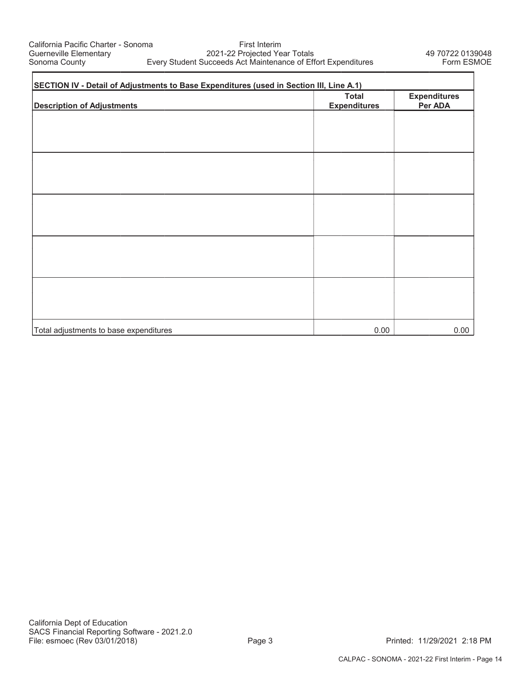г

First Interim 2021-22 Projected Year Totals Every Student Succeeds Act Maintenance of Effort Expenditures

h

| SECTION IV - Detail of Adjustments to Base Expenditures (used in Section III, Line A.1) |                                     |                                |  |  |  |  |  |
|-----------------------------------------------------------------------------------------|-------------------------------------|--------------------------------|--|--|--|--|--|
| <b>Description of Adjustments</b>                                                       | <b>Total</b><br><b>Expenditures</b> | <b>Expenditures</b><br>Per ADA |  |  |  |  |  |
|                                                                                         |                                     |                                |  |  |  |  |  |
|                                                                                         |                                     |                                |  |  |  |  |  |
|                                                                                         |                                     |                                |  |  |  |  |  |
|                                                                                         |                                     |                                |  |  |  |  |  |
|                                                                                         |                                     |                                |  |  |  |  |  |
|                                                                                         |                                     |                                |  |  |  |  |  |
|                                                                                         |                                     |                                |  |  |  |  |  |
|                                                                                         |                                     |                                |  |  |  |  |  |
|                                                                                         |                                     |                                |  |  |  |  |  |
|                                                                                         |                                     |                                |  |  |  |  |  |
| Total adjustments to base expenditures                                                  | 0.00                                | 0.00                           |  |  |  |  |  |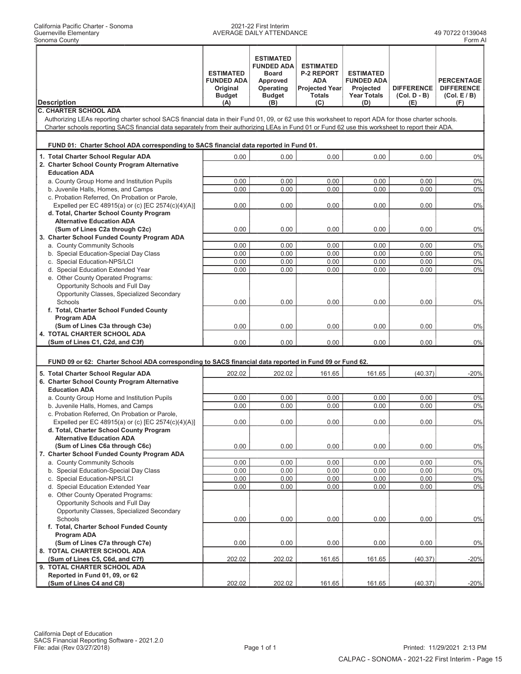#### 2021-22 First Interim AVERAGE DAILY ATTENDANCE 49 70722 0139048

|                                                                                                                                                                                                                                                                                                             | <b>ESTIMATED</b><br><b>FUNDED ADA</b><br>Original<br><b>Budget</b> | <b>ESTIMATED</b><br><b>FUNDED ADA</b><br><b>Board</b><br>Approved<br>Operating<br><b>Budget</b> | <b>ESTIMATED</b><br><b>P-2 REPORT</b><br><b>ADA</b><br><b>Projected Year</b><br><b>Totals</b> | <b>ESTIMATED</b><br><b>FUNDED ADA</b><br>Projected<br><b>Year Totals</b> | <b>DIFFERENCE</b><br>$(Col. D - B)$ | <b>PERCENTAGE</b><br><b>DIFFERENCE</b><br>(Col. E/B) |
|-------------------------------------------------------------------------------------------------------------------------------------------------------------------------------------------------------------------------------------------------------------------------------------------------------------|--------------------------------------------------------------------|-------------------------------------------------------------------------------------------------|-----------------------------------------------------------------------------------------------|--------------------------------------------------------------------------|-------------------------------------|------------------------------------------------------|
| <b>Description</b>                                                                                                                                                                                                                                                                                          | (A)                                                                | (B)                                                                                             | (C)                                                                                           | (D)                                                                      | (E)                                 | (F)                                                  |
| <b>C. CHARTER SCHOOL ADA</b>                                                                                                                                                                                                                                                                                |                                                                    |                                                                                                 |                                                                                               |                                                                          |                                     |                                                      |
| Authorizing LEAs reporting charter school SACS financial data in their Fund 01, 09, or 62 use this worksheet to report ADA for those charter schools.<br>Charter schools reporting SACS financial data separately from their authorizing LEAs in Fund 01 or Fund 62 use this worksheet to report their ADA. |                                                                    |                                                                                                 |                                                                                               |                                                                          |                                     |                                                      |
|                                                                                                                                                                                                                                                                                                             |                                                                    |                                                                                                 |                                                                                               |                                                                          |                                     |                                                      |
| FUND 01: Charter School ADA corresponding to SACS financial data reported in Fund 01.                                                                                                                                                                                                                       |                                                                    |                                                                                                 |                                                                                               |                                                                          |                                     |                                                      |
| 1. Total Charter School Regular ADA                                                                                                                                                                                                                                                                         | 0.00                                                               | 0.00                                                                                            | 0.00                                                                                          | 0.00                                                                     | 0.00                                | 0%                                                   |
| 2. Charter School County Program Alternative                                                                                                                                                                                                                                                                |                                                                    |                                                                                                 |                                                                                               |                                                                          |                                     |                                                      |
| <b>Education ADA</b>                                                                                                                                                                                                                                                                                        |                                                                    |                                                                                                 |                                                                                               |                                                                          |                                     |                                                      |
| a. County Group Home and Institution Pupils                                                                                                                                                                                                                                                                 | 0.00                                                               | 0.00                                                                                            | 0.00                                                                                          | 0.00                                                                     | 0.00                                | 0%                                                   |
| b. Juvenile Halls, Homes, and Camps                                                                                                                                                                                                                                                                         | 0.00                                                               | 0.00                                                                                            | 0.00                                                                                          | 0.00                                                                     | 0.00                                | 0%                                                   |
| c. Probation Referred, On Probation or Parole,                                                                                                                                                                                                                                                              | 0.00                                                               | 0.00                                                                                            | 0.00                                                                                          | 0.00                                                                     | 0.00                                | 0%                                                   |
| Expelled per EC 48915(a) or (c) [EC 2574(c)(4)(A)]<br>d. Total, Charter School County Program                                                                                                                                                                                                               |                                                                    |                                                                                                 |                                                                                               |                                                                          |                                     |                                                      |
| <b>Alternative Education ADA</b>                                                                                                                                                                                                                                                                            |                                                                    |                                                                                                 |                                                                                               |                                                                          |                                     |                                                      |
| (Sum of Lines C2a through C2c)                                                                                                                                                                                                                                                                              | 0.00                                                               | 0.00                                                                                            | 0.00                                                                                          | 0.00                                                                     | 0.00                                | 0%                                                   |
| 3. Charter School Funded County Program ADA                                                                                                                                                                                                                                                                 |                                                                    |                                                                                                 |                                                                                               |                                                                          |                                     |                                                      |
| a. County Community Schools                                                                                                                                                                                                                                                                                 | 0.00                                                               | 0.00                                                                                            | 0.00                                                                                          | 0.00                                                                     | 0.00                                | 0%                                                   |
| b. Special Education-Special Day Class                                                                                                                                                                                                                                                                      | 0.00                                                               | 0.00                                                                                            | 0.00                                                                                          | 0.00                                                                     | 0.00                                | 0%                                                   |
| c. Special Education-NPS/LCI<br>d. Special Education Extended Year                                                                                                                                                                                                                                          | 0.00<br>0.00                                                       | 0.00<br>0.00                                                                                    | 0.00<br>0.00                                                                                  | 0.00                                                                     | 0.00<br>0.00                        | 0%<br>0%                                             |
| e. Other County Operated Programs:                                                                                                                                                                                                                                                                          |                                                                    |                                                                                                 |                                                                                               | 0.00                                                                     |                                     |                                                      |
| Opportunity Schools and Full Day                                                                                                                                                                                                                                                                            |                                                                    |                                                                                                 |                                                                                               |                                                                          |                                     |                                                      |
| Opportunity Classes, Specialized Secondary                                                                                                                                                                                                                                                                  |                                                                    |                                                                                                 |                                                                                               |                                                                          |                                     |                                                      |
| Schools                                                                                                                                                                                                                                                                                                     | 0.00                                                               | 0.00                                                                                            | 0.00                                                                                          | 0.00                                                                     | 0.00                                | 0%                                                   |
| f. Total, Charter School Funded County                                                                                                                                                                                                                                                                      |                                                                    |                                                                                                 |                                                                                               |                                                                          |                                     |                                                      |
| Program ADA                                                                                                                                                                                                                                                                                                 |                                                                    |                                                                                                 |                                                                                               |                                                                          |                                     |                                                      |
| (Sum of Lines C3a through C3e)<br>4. TOTAL CHARTER SCHOOL ADA                                                                                                                                                                                                                                               | 0.00                                                               | 0.00                                                                                            | 0.00                                                                                          | 0.00                                                                     | 0.00                                | 0%                                                   |
| (Sum of Lines C1, C2d, and C3f)                                                                                                                                                                                                                                                                             | 0.00                                                               | 0.00                                                                                            | 0.00                                                                                          | 0.00                                                                     | 0.00                                | 0%                                                   |
|                                                                                                                                                                                                                                                                                                             |                                                                    |                                                                                                 |                                                                                               |                                                                          |                                     |                                                      |
| FUND 09 or 62: Charter School ADA corresponding to SACS financial data reported in Fund 09 or Fund 62.                                                                                                                                                                                                      |                                                                    |                                                                                                 |                                                                                               |                                                                          |                                     |                                                      |
|                                                                                                                                                                                                                                                                                                             |                                                                    |                                                                                                 |                                                                                               |                                                                          |                                     |                                                      |
| 5. Total Charter School Regular ADA<br>6. Charter School County Program Alternative                                                                                                                                                                                                                         | 202.02                                                             | 202.02                                                                                          | 161.65                                                                                        | 161.65                                                                   | (40.37)                             | $-20%$                                               |
| <b>Education ADA</b>                                                                                                                                                                                                                                                                                        |                                                                    |                                                                                                 |                                                                                               |                                                                          |                                     |                                                      |
| a. County Group Home and Institution Pupils                                                                                                                                                                                                                                                                 | 0.00                                                               | 0.00                                                                                            | 0.00                                                                                          | 0.00                                                                     | 0.00                                | 0%                                                   |
| b. Juvenile Halls, Homes, and Camps                                                                                                                                                                                                                                                                         | 0.00                                                               | 0.00                                                                                            | 0.00                                                                                          | 0.00                                                                     | 0.00                                | 0%                                                   |
| c. Probation Referred, On Probation or Parole,                                                                                                                                                                                                                                                              |                                                                    |                                                                                                 |                                                                                               |                                                                          |                                     |                                                      |
| Expelled per EC 48915(a) or (c) [EC 2574(c)(4)(A)]                                                                                                                                                                                                                                                          | 0.00                                                               | 0.00                                                                                            | 0.00                                                                                          | 0.00                                                                     | 0.00                                | 0%                                                   |
| d. Total, Charter School County Program<br><b>Alternative Education ADA</b>                                                                                                                                                                                                                                 |                                                                    |                                                                                                 |                                                                                               |                                                                          |                                     |                                                      |
| (Sum of Lines C6a through C6c)                                                                                                                                                                                                                                                                              | 0.00                                                               | 0.00                                                                                            | 0.00                                                                                          | 0.00                                                                     | 0.00                                | 0%                                                   |
| 7. Charter School Funded County Program ADA                                                                                                                                                                                                                                                                 |                                                                    |                                                                                                 |                                                                                               |                                                                          |                                     |                                                      |
| a. County Community Schools                                                                                                                                                                                                                                                                                 | 0.00                                                               | 0.00                                                                                            | 0.00                                                                                          | 0.00                                                                     | 0.00                                | 0%                                                   |
| b. Special Education-Special Day Class                                                                                                                                                                                                                                                                      | 0.00                                                               | 0.00                                                                                            | 0.00                                                                                          | 0.00                                                                     | 0.00                                | 0%                                                   |
| c. Special Education-NPS/LCI                                                                                                                                                                                                                                                                                | 0.00                                                               | 0.00                                                                                            | 0.00                                                                                          | 0.00                                                                     | 0.00                                | 0%                                                   |
| d. Special Education Extended Year                                                                                                                                                                                                                                                                          | 0.00                                                               | 0.00                                                                                            | $0.00\,$                                                                                      | 0.00                                                                     | 0.00                                | 0%                                                   |
| e. Other County Operated Programs:<br>Opportunity Schools and Full Day                                                                                                                                                                                                                                      |                                                                    |                                                                                                 |                                                                                               |                                                                          |                                     |                                                      |
| Opportunity Classes, Specialized Secondary                                                                                                                                                                                                                                                                  |                                                                    |                                                                                                 |                                                                                               |                                                                          |                                     |                                                      |
| Schools                                                                                                                                                                                                                                                                                                     | 0.00                                                               | 0.00                                                                                            | 0.00                                                                                          | 0.00                                                                     | 0.00                                | 0%                                                   |
| f. Total, Charter School Funded County                                                                                                                                                                                                                                                                      |                                                                    |                                                                                                 |                                                                                               |                                                                          |                                     |                                                      |
| Program ADA                                                                                                                                                                                                                                                                                                 |                                                                    |                                                                                                 |                                                                                               |                                                                          |                                     |                                                      |
| (Sum of Lines C7a through C7e)                                                                                                                                                                                                                                                                              | 0.00                                                               | 0.00                                                                                            | 0.00                                                                                          | 0.00                                                                     | 0.00                                | 0%                                                   |
| 8. TOTAL CHARTER SCHOOL ADA<br>(Sum of Lines C5, C6d, and C7f)                                                                                                                                                                                                                                              |                                                                    |                                                                                                 |                                                                                               |                                                                          |                                     |                                                      |
| 9. TOTAL CHARTER SCHOOL ADA                                                                                                                                                                                                                                                                                 | 202.02                                                             | 202.02                                                                                          | 161.65                                                                                        | 161.65                                                                   | (40.37)                             | $-20%$                                               |
| Reported in Fund 01, 09, or 62                                                                                                                                                                                                                                                                              |                                                                    |                                                                                                 |                                                                                               |                                                                          |                                     |                                                      |
| (Sum of Lines C4 and C8)                                                                                                                                                                                                                                                                                    | 202.02                                                             | 202.02                                                                                          | 161.65                                                                                        | 161.65                                                                   | (40.37)                             | $-20%$                                               |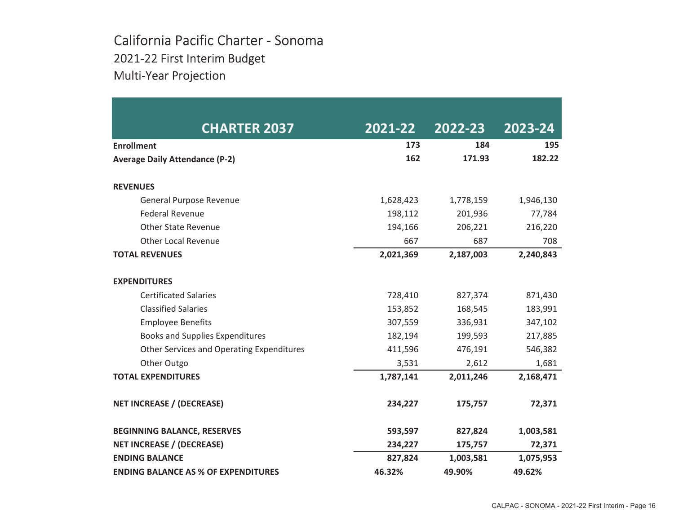### California Pacific Charter - Sonoma 2021-22 First Interim Budget Multi-Year Projection

| <b>CHARTER 2037</b>                        | 2021-22   | 2022-23   | 2023-24   |
|--------------------------------------------|-----------|-----------|-----------|
| <b>Enrollment</b>                          | 173       | 184       | 195       |
| <b>Average Daily Attendance (P-2)</b>      | 162       | 171.93    | 182.22    |
| <b>REVENUES</b>                            |           |           |           |
| General Purpose Revenue                    | 1,628,423 | 1,778,159 | 1,946,130 |
| <b>Federal Revenue</b>                     | 198,112   | 201,936   | 77,784    |
| <b>Other State Revenue</b>                 | 194,166   | 206,221   | 216,220   |
| <b>Other Local Revenue</b>                 | 667       | 687       | 708       |
| <b>TOTAL REVENUES</b>                      | 2,021,369 | 2,187,003 | 2,240,843 |
| <b>EXPENDITURES</b>                        |           |           |           |
| <b>Certificated Salaries</b>               | 728,410   | 827,374   | 871,430   |
| <b>Classified Salaries</b>                 | 153,852   | 168,545   | 183,991   |
| <b>Employee Benefits</b>                   | 307,559   | 336,931   | 347,102   |
| <b>Books and Supplies Expenditures</b>     | 182,194   | 199,593   | 217,885   |
| Other Services and Operating Expenditures  | 411,596   | 476,191   | 546,382   |
| Other Outgo                                | 3,531     | 2,612     | 1,681     |
| <b>TOTAL EXPENDITURES</b>                  | 1,787,141 | 2,011,246 | 2,168,471 |
| <b>NET INCREASE / (DECREASE)</b>           | 234,227   | 175,757   | 72,371    |
| <b>BEGINNING BALANCE, RESERVES</b>         | 593,597   | 827,824   | 1,003,581 |
| <b>NET INCREASE / (DECREASE)</b>           | 234,227   | 175,757   | 72,371    |
| <b>ENDING BALANCE</b>                      | 827,824   | 1,003,581 | 1,075,953 |
| <b>ENDING BALANCE AS % OF EXPENDITURES</b> | 46.32%    | 49.90%    | 49.62%    |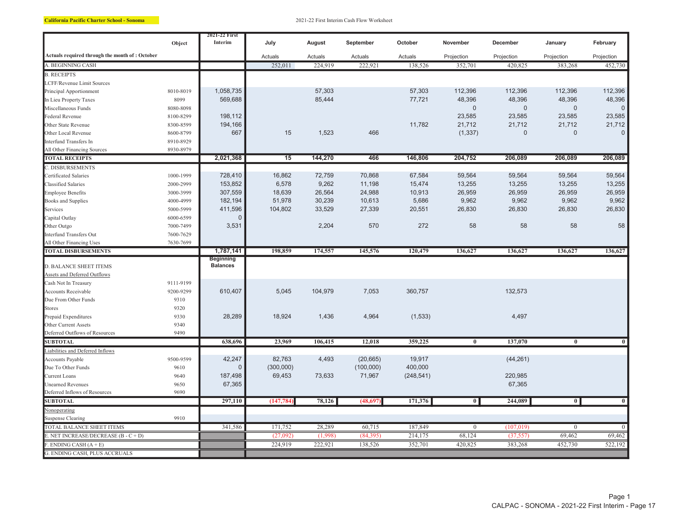|                                                    | Object    | 2021-22 First<br>Interim            | July       | August  | September | October    | November                | December       | January        | February            |
|----------------------------------------------------|-----------|-------------------------------------|------------|---------|-----------|------------|-------------------------|----------------|----------------|---------------------|
| Actuals required through the month of: October     |           |                                     | Actuals    | Actuals | Actuals   | Actuals    | Projection              | Projection     | Projection     | Projection          |
| A. BEGINNING CASH                                  |           |                                     | 252,011    | 224,919 | 222,921   | 138,526    | 352,701                 | 420,825        | 383,268        | 452,730             |
| <b>B. RECEIPTS</b>                                 |           |                                     |            |         |           |            |                         |                |                |                     |
| LCFF/Revenue Limit Sources                         |           |                                     |            |         |           |            |                         |                |                |                     |
| Principal Apportionment                            | 8010-8019 | 1,058,735                           |            | 57,303  |           | 57,303     | 112,396                 | 112,396        | 112,396        | 112,396             |
| In Lieu Property Taxes                             | 8099      | 569,688                             |            | 85,444  |           | 77,721     | 48,396                  | 48,396         | 48,396         | 48,396              |
| Miscellaneous Funds                                | 8080-8098 |                                     |            |         |           |            | $\mathbf 0$             | $\overline{0}$ | $\mathbf{0}$   | $\mathbf 0$         |
| Federal Revenue                                    | 8100-8299 | 198,112                             |            |         |           |            | 23,585                  | 23,585         | 23,585         | 23,585              |
| Other State Revenue                                | 8300-8599 | 194,166                             |            |         |           | 11,782     | 21,712                  | 21,712         | 21,712         | 21,712              |
| Other Local Revenue                                | 8600-8799 | 667                                 | 15         | 1,523   | 466       |            | (1, 337)                | $\Omega$       | 0              | $\mathsf{O}\xspace$ |
| Interfund Transfers In                             | 8910-8929 |                                     |            |         |           |            |                         |                |                |                     |
| All Other Financing Sources                        | 8930-8979 |                                     |            |         |           |            |                         |                |                |                     |
| <b>TOTAL RECEIPTS</b>                              |           | 2,021,368                           | 15         | 144,270 | 466       | 146,806    | 204,752                 | 206,089        | 206,089        | 206,089             |
| C. DISBURSEMENTS                                   |           |                                     |            |         |           |            |                         |                |                |                     |
| Certificated Salaries                              | 1000-1999 | 728,410                             | 16,862     | 72,759  | 70,868    | 67,584     | 59,564                  | 59,564         | 59,564         | 59,564              |
| Classified Salaries                                | 2000-2999 | 153,852                             | 6,578      | 9,262   | 11,198    | 15,474     | 13,255                  | 13,255         | 13,255         | 13,255              |
| <b>Employee Benefits</b>                           | 3000-3999 | 307,559                             | 18,639     | 26,564  | 24,988    | 10,913     | 26,959                  | 26,959         | 26,959         | 26,959              |
| <b>Books and Supplies</b>                          | 4000-4999 | 182,194                             | 51,978     | 30,239  | 10,613    | 5,686      | 9,962                   | 9,962          | 9,962          | 9,962               |
| Services                                           | 5000-5999 | 411,596                             | 104,802    | 33,529  | 27,339    | 20,551     | 26,830                  | 26,830         | 26,830         | 26,830              |
| Capital Outlay                                     | 6000-6599 | $\sqrt{ }$                          |            |         |           |            |                         |                |                |                     |
| Other Outgo                                        | 7000-7499 | 3,531                               |            | 2,204   | 570       | 272        | 58                      | 58             | 58             | 58                  |
| Interfund Transfers Out                            | 7600-7629 |                                     |            |         |           |            |                         |                |                |                     |
| All Other Financing Uses                           | 7630-7699 |                                     |            |         |           |            |                         |                |                |                     |
| <b>TOTAL DISBURSEMENTS</b>                         |           | 1,787,141                           | 198,859    | 174,557 | 145,576   | 120,479    | 136,627                 | 136,627        | 136,627        | 136,627             |
|                                                    |           | <b>Beginning</b><br><b>Balances</b> |            |         |           |            |                         |                |                |                     |
| <b>D. BALANCE SHEET ITEMS</b>                      |           |                                     |            |         |           |            |                         |                |                |                     |
| Assets and Deferred Outflows                       | 9111-9199 |                                     |            |         |           |            |                         |                |                |                     |
| Cash Not In Treasury<br><b>Accounts Receivable</b> | 9200-9299 | 610,407                             | 5,045      | 104,979 | 7,053     | 360,757    |                         | 132,573        |                |                     |
| Due From Other Funds                               | 9310      |                                     |            |         |           |            |                         |                |                |                     |
| <b>Stores</b>                                      | 9320      |                                     |            |         |           |            |                         |                |                |                     |
| Prepaid Expenditures                               | 9330      | 28,289                              | 18,924     | 1,436   | 4,964     | (1, 533)   |                         | 4,497          |                |                     |
| Other Current Assets                               | 9340      |                                     |            |         |           |            |                         |                |                |                     |
| Deferred Outflows of Resources                     | 9490      |                                     |            |         |           |            |                         |                |                |                     |
| <b>SUBTOTAL</b>                                    |           | 638,696                             | 23,969     | 106,415 | 12,018    | 359,225    | $\overline{\mathbf{0}}$ | 137,070        | $\bf{0}$       | $\overline{0}$      |
| Liabilities and Deferred Inflows                   |           |                                     |            |         |           |            |                         |                |                |                     |
| <b>Accounts Payable</b>                            | 9500-9599 | 42,247                              | 82,763     | 4,493   | (20, 665) | 19,917     |                         | (44, 261)      |                |                     |
| Due To Other Funds                                 | 9610      | $\Omega$                            | (300,000)  |         | (100,000) | 400,000    |                         |                |                |                     |
| <b>Current Loans</b>                               | 9640      | 187,498                             | 69,453     | 73,633  | 71,967    | (248, 541) |                         | 220,985        |                |                     |
| <b>Unearned Revenues</b>                           | 9650      | 67,365                              |            |         |           |            |                         | 67,365         |                |                     |
| Deferred Inflows of Resources                      | 9690      |                                     |            |         |           |            |                         |                |                |                     |
| <b>SUBTOTAL</b>                                    |           | 297,110                             | (147, 784) | 78,126  | (48, 697) | 171,376    | $\overline{0}$          | 244,089        | $\overline{0}$ | $\overline{0}$      |
| Nonoperating                                       |           |                                     |            |         |           |            |                         |                |                |                     |
| <b>Suspense Clearing</b>                           | 9910      |                                     |            |         |           |            |                         |                |                |                     |
| TOTAL BALANCE SHEET ITEMS                          |           | 341,586                             | 171,752    | 28,289  | 60,715    | 187,849    | $\overline{0}$          | (107, 019)     | $\overline{0}$ | $\overline{0}$      |
| E. NET INCREASE/DECREASE $(B - C + D)$             |           |                                     | (27,092)   | (1,998) | (84,395)  | 214,175    | 68,124                  | (37, 557)      | 69,462         | 69,462              |
| $E$ . ENDING CASH $(A + E)$                        |           |                                     | 224,919    | 222,921 | 138,526   | 352,701    | 420,825                 | 383,268        | 452,730        | 522,192             |
| G. ENDING CASH, PLUS ACCRUALS                      |           |                                     |            |         |           |            |                         |                |                |                     |
|                                                    |           |                                     |            |         |           |            |                         |                |                |                     |